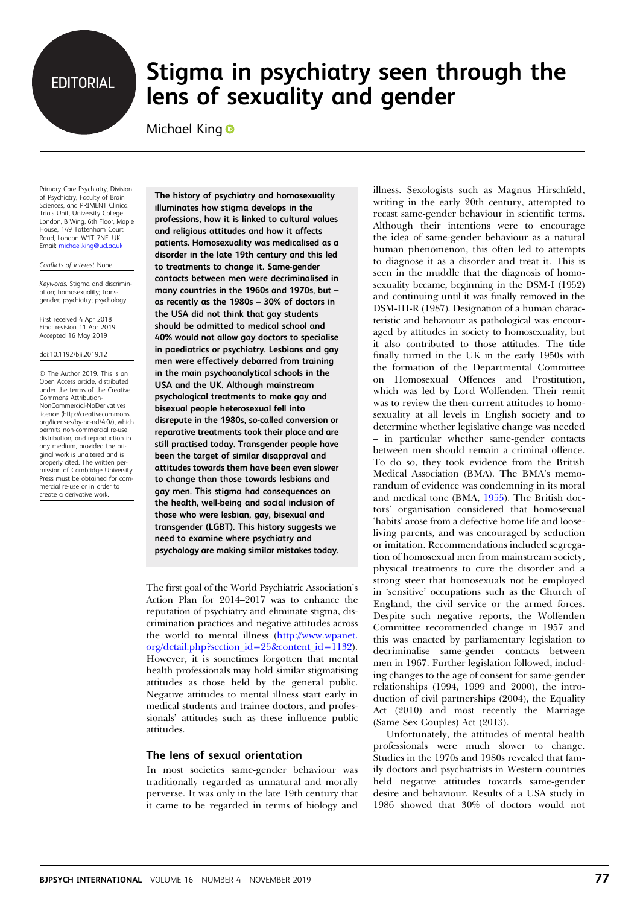

# EDITORIAL Stigma in psychiatry seen through the lens of sexuality and gender

Michael King<sup>®</sup>

Primary Care Psychiatry, Division of Psychiatry, Faculty of Brain Sciences, and PRIMENT Clinical Trials Unit, University College London, B Wing, 6th Floor, Maple House, 149 Tottenham Court Road, London W1T 7NF, UK. Email: [michael.king@ucl.ac.uk](mailto:michael.king@ucl.ac.uk)

#### Conflicts of interest None.

Keywords. Stigma and discrimination; homosexuality; transgender; psychiatry; psychology.

First received 4 Apr 2018 Final revision 11 Apr 2019 Accepted 16 May 2019

#### doi:10.1192/bji.2019.12

© The Author 2019. This is an Open Access article, distributed under the terms of the Creative Commons Attribution-NonCommercial-NoDerivatives licence (http://creativecommons. org/licenses/by-nc-nd/4.0/), which permits non-commercial re-use, distribution, and reproduction in any medium, provided the original work is unaltered and is properly cited. The written permission of Cambridge University Press must be obtained for commercial re-use or in order to create a derivative work.

The history of psychiatry and homosexuality illuminates how stigma develops in the professions, how it is linked to cultural values and religious attitudes and how it affects patients. Homosexuality was medicalised as a disorder in the late 19th century and this led to treatments to change it. Same-gender contacts between men were decriminalised in many countries in the 1960s and 1970s, but – as recently as the 1980s – 30% of doctors in the USA did not think that gay students should be admitted to medical school and 40% would not allow gay doctors to specialise in paediatrics or psychiatry. Lesbians and gay men were effectively debarred from training in the main psychoanalytical schools in the USA and the UK. Although mainstream psychological treatments to make gay and bisexual people heterosexual fell into disrepute in the 1980s, so-called conversion or reparative treatments took their place and are still practised today. Transgender people have been the target of similar disapproval and attitudes towards them have been even slower to change than those towards lesbians and gay men. This stigma had consequences on the health, well-being and social inclusion of those who were lesbian, gay, bisexual and transgender (LGBT). This history suggests we need to examine where psychiatry and psychology are making similar mistakes today.

The first goal of the World Psychiatric Association's Action Plan for 2014–2017 was to enhance the reputation of psychiatry and eliminate stigma, discrimination practices and negative attitudes across the world to mental illness ([http://www.wpanet.](http://www.wpanet.org/detail.php?section_id=25&content_id=1132) [org/detail.php?section\\_id=25&content\\_id=1132\)](http://www.wpanet.org/detail.php?section_id=25&content_id=1132). However, it is sometimes forgotten that mental health professionals may hold similar stigmatising attitudes as those held by the general public. Negative attitudes to mental illness start early in medical students and trainee doctors, and professionals' attitudes such as these influence public attitudes.

### The lens of sexual orientation

In most societies same-gender behaviour was traditionally regarded as unnatural and morally perverse. It was only in the late 19th century that it came to be regarded in terms of biology and illness. Sexologists such as Magnus Hirschfeld, writing in the early 20th century, attempted to recast same-gender behaviour in scientific terms. Although their intentions were to encourage the idea of same-gender behaviour as a natural human phenomenon, this often led to attempts to diagnose it as a disorder and treat it. This is seen in the muddle that the diagnosis of homosexuality became, beginning in the DSM-I (1952) and continuing until it was finally removed in the DSM-III-R (1987). Designation of a human characteristic and behaviour as pathological was encouraged by attitudes in society to homosexuality, but it also contributed to those attitudes. The tide finally turned in the UK in the early 1950s with the formation of the Departmental Committee on Homosexual Offences and Prostitution, which was led by Lord Wolfenden. Their remit was to review the then-current attitudes to homosexuality at all levels in English society and to determine whether legislative change was needed – in particular whether same-gender contacts between men should remain a criminal offence. To do so, they took evidence from the British Medical Association (BMA). The BMA's memorandum of evidence was condemning in its moral and medical tone (BMA, [1955](#page-3-0)). The British doctors' organisation considered that homosexual 'habits' arose from a defective home life and looseliving parents, and was encouraged by seduction or imitation. Recommendations included segregation of homosexual men from mainstream society, physical treatments to cure the disorder and a strong steer that homosexuals not be employed in 'sensitive' occupations such as the Church of England, the civil service or the armed forces. Despite such negative reports, the Wolfenden Committee recommended change in 1957 and this was enacted by parliamentary legislation to decriminalise same-gender contacts between men in 1967. Further legislation followed, including changes to the age of consent for same-gender relationships (1994, 1999 and 2000), the introduction of civil partnerships (2004), the Equality Act (2010) and most recently the Marriage (Same Sex Couples) Act (2013).

Unfortunately, the attitudes of mental health professionals were much slower to change. Studies in the 1970s and 1980s revealed that family doctors and psychiatrists in Western countries held negative attitudes towards same-gender desire and behaviour. Results of a USA study in 1986 showed that 30% of doctors would not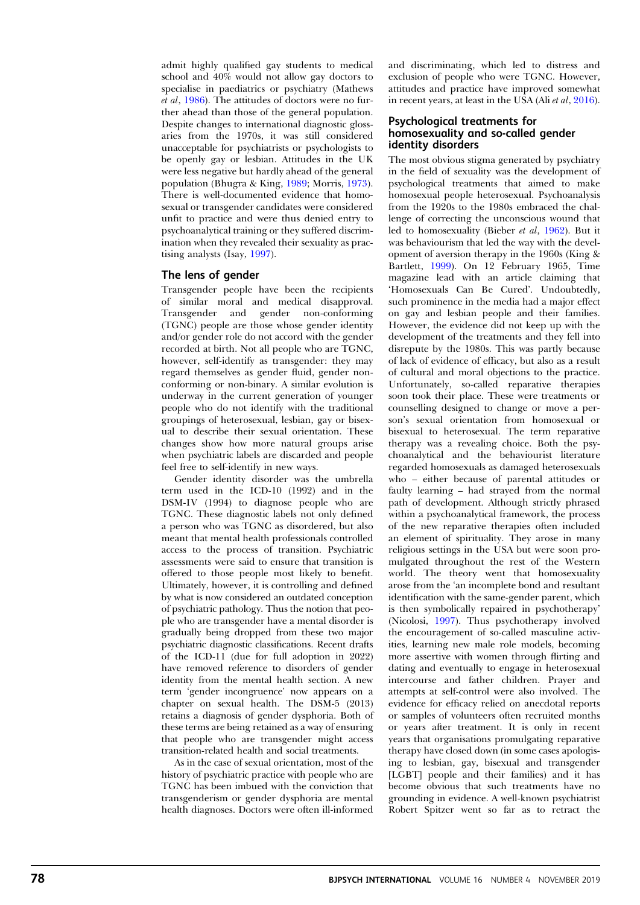admit highly qualified gay students to medical school and 40% would not allow gay doctors to specialise in paediatrics or psychiatry (Mathews et al, [1986](#page-3-0)). The attitudes of doctors were no further ahead than those of the general population. Despite changes to international diagnostic glossaries from the 1970s, it was still considered unacceptable for psychiatrists or psychologists to be openly gay or lesbian. Attitudes in the UK were less negative but hardly ahead of the general population (Bhugra & King, [1989;](#page-3-0) Morris, [1973\)](#page-3-0). There is well-documented evidence that homosexual or transgender candidates were considered unfit to practice and were thus denied entry to psychoanalytical training or they suffered discrimination when they revealed their sexuality as practising analysts (Isay, [1997\)](#page-3-0).

# The lens of gender

Transgender people have been the recipients of similar moral and medical disapproval. Transgender and gender non-conforming (TGNC) people are those whose gender identity and/or gender role do not accord with the gender recorded at birth. Not all people who are TGNC, however, self-identify as transgender: they may regard themselves as gender fluid, gender nonconforming or non-binary. A similar evolution is underway in the current generation of younger people who do not identify with the traditional groupings of heterosexual, lesbian, gay or bisexual to describe their sexual orientation. These changes show how more natural groups arise when psychiatric labels are discarded and people feel free to self-identify in new ways.

Gender identity disorder was the umbrella term used in the ICD-10 (1992) and in the DSM-IV (1994) to diagnose people who are TGNC. These diagnostic labels not only defined a person who was TGNC as disordered, but also meant that mental health professionals controlled access to the process of transition. Psychiatric assessments were said to ensure that transition is offered to those people most likely to benefit. Ultimately, however, it is controlling and defined by what is now considered an outdated conception of psychiatric pathology. Thus the notion that people who are transgender have a mental disorder is gradually being dropped from these two major psychiatric diagnostic classifications. Recent drafts of the ICD-11 (due for full adoption in 2022) have removed reference to disorders of gender identity from the mental health section. A new term 'gender incongruence' now appears on a chapter on sexual health. The DSM-5 (2013) retains a diagnosis of gender dysphoria. Both of these terms are being retained as a way of ensuring that people who are transgender might access transition-related health and social treatments.

As in the case of sexual orientation, most of the history of psychiatric practice with people who are TGNC has been imbued with the conviction that transgenderism or gender dysphoria are mental health diagnoses. Doctors were often ill-informed

and discriminating, which led to distress and exclusion of people who were TGNC. However, attitudes and practice have improved somewhat in recent years, at least in the USA (Ali et al, [2016](#page-3-0)).

# Psychological treatments for homosexuality and so-called gender identity disorders

The most obvious stigma generated by psychiatry in the field of sexuality was the development of psychological treatments that aimed to make homosexual people heterosexual. Psychoanalysis from the 1920s to the 1980s embraced the challenge of correcting the unconscious wound that led to homosexuality (Bieber et al, [1962](#page-3-0)). But it was behaviourism that led the way with the development of aversion therapy in the 1960s (King & Bartlett, [1999\)](#page-3-0). On 12 February 1965, Time magazine lead with an article claiming that 'Homosexuals Can Be Cured'. Undoubtedly, such prominence in the media had a major effect on gay and lesbian people and their families. However, the evidence did not keep up with the development of the treatments and they fell into disrepute by the 1980s. This was partly because of lack of evidence of efficacy, but also as a result of cultural and moral objections to the practice. Unfortunately, so-called reparative therapies soon took their place. These were treatments or counselling designed to change or move a person's sexual orientation from homosexual or bisexual to heterosexual. The term reparative therapy was a revealing choice. Both the psychoanalytical and the behaviourist literature regarded homosexuals as damaged heterosexuals who – either because of parental attitudes or faulty learning – had strayed from the normal path of development. Although strictly phrased within a psychoanalytical framework, the process of the new reparative therapies often included an element of spirituality. They arose in many religious settings in the USA but were soon promulgated throughout the rest of the Western world. The theory went that homosexuality arose from the 'an incomplete bond and resultant identification with the same-gender parent, which is then symbolically repaired in psychotherapy' (Nicolosi, [1997\)](#page-3-0). Thus psychotherapy involved the encouragement of so-called masculine activities, learning new male role models, becoming more assertive with women through flirting and dating and eventually to engage in heterosexual intercourse and father children. Prayer and attempts at self-control were also involved. The evidence for efficacy relied on anecdotal reports or samples of volunteers often recruited months or years after treatment. It is only in recent years that organisations promulgating reparative therapy have closed down (in some cases apologising to lesbian, gay, bisexual and transgender [LGBT] people and their families) and it has become obvious that such treatments have no grounding in evidence. A well-known psychiatrist Robert Spitzer went so far as to retract the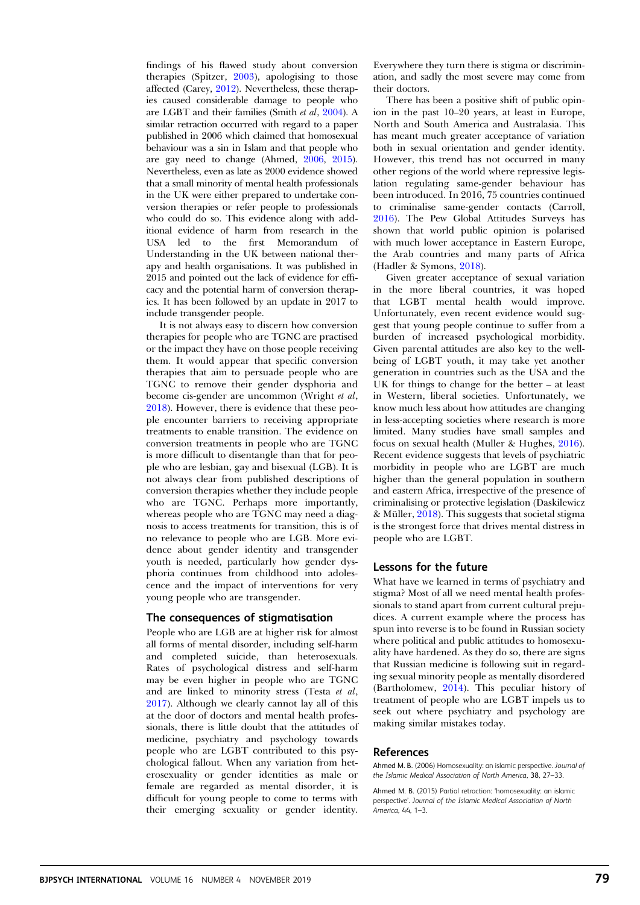findings of his flawed study about conversion therapies (Spitzer, [2003\)](#page-3-0), apologising to those affected (Carey, [2012\)](#page-3-0). Nevertheless, these therapies caused considerable damage to people who are LGBT and their families (Smith et al, [2004](#page-3-0)). A similar retraction occurred with regard to a paper published in 2006 which claimed that homosexual behaviour was a sin in Islam and that people who are gay need to change (Ahmed, 2006, [2015\)](#page-3-0). Nevertheless, even as late as 2000 evidence showed that a small minority of mental health professionals in the UK were either prepared to undertake conversion therapies or refer people to professionals who could do so. This evidence along with additional evidence of harm from research in the USA led to the first Memorandum of Understanding in the UK between national therapy and health organisations. It was published in 2015 and pointed out the lack of evidence for efficacy and the potential harm of conversion therapies. It has been followed by an update in 2017 to include transgender people.

It is not always easy to discern how conversion therapies for people who are TGNC are practised or the impact they have on those people receiving them. It would appear that specific conversion therapies that aim to persuade people who are TGNC to remove their gender dysphoria and become cis-gender are uncommon (Wright et al, [2018\)](#page-3-0). However, there is evidence that these people encounter barriers to receiving appropriate treatments to enable transition. The evidence on conversion treatments in people who are TGNC is more difficult to disentangle than that for people who are lesbian, gay and bisexual (LGB). It is not always clear from published descriptions of conversion therapies whether they include people who are TGNC. Perhaps more importantly, whereas people who are TGNC may need a diagnosis to access treatments for transition, this is of no relevance to people who are LGB. More evidence about gender identity and transgender youth is needed, particularly how gender dysphoria continues from childhood into adolescence and the impact of interventions for very young people who are transgender.

# The consequences of stigmatisation

People who are LGB are at higher risk for almost all forms of mental disorder, including self-harm and completed suicide, than heterosexuals. Rates of psychological distress and self-harm may be even higher in people who are TGNC and are linked to minority stress (Testa et al, [2017\)](#page-3-0). Although we clearly cannot lay all of this at the door of doctors and mental health professionals, there is little doubt that the attitudes of medicine, psychiatry and psychology towards people who are LGBT contributed to this psychological fallout. When any variation from heterosexuality or gender identities as male or female are regarded as mental disorder, it is difficult for young people to come to terms with their emerging sexuality or gender identity.

Everywhere they turn there is stigma or discrimination, and sadly the most severe may come from their doctors.

There has been a positive shift of public opinion in the past 10–20 years, at least in Europe, North and South America and Australasia. This has meant much greater acceptance of variation both in sexual orientation and gender identity. However, this trend has not occurred in many other regions of the world where repressive legislation regulating same-gender behaviour has been introduced. In 2016, 75 countries continued to criminalise same-gender contacts (Carroll, 2016). The Pew Global Attitudes Surveys has shown that world public opinion is polarised with much lower acceptance in Eastern Europe, the Arab countries and many parts of Africa (Hadler & Symons, [2018](#page-3-0)).

Given greater acceptance of sexual variation in the more liberal countries, it was hoped that LGBT mental health would improve. Unfortunately, even recent evidence would suggest that young people continue to suffer from a burden of increased psychological morbidity. Given parental attitudes are also key to the wellbeing of LGBT youth, it may take yet another generation in countries such as the USA and the UK for things to change for the better  $-$  at least in Western, liberal societies. Unfortunately, we know much less about how attitudes are changing in less-accepting societies where research is more limited. Many studies have small samples and focus on sexual health (Muller & Hughes, [2016\)](#page-3-0). Recent evidence suggests that levels of psychiatric morbidity in people who are LGBT are much higher than the general population in southern and eastern Africa, irrespective of the presence of criminalising or protective legislation (Daskilewicz & Müller, [2018](#page-3-0)). This suggests that societal stigma is the strongest force that drives mental distress in people who are LGBT.

### Lessons for the future

What have we learned in terms of psychiatry and stigma? Most of all we need mental health professionals to stand apart from current cultural prejudices. A current example where the process has spun into reverse is to be found in Russian society where political and public attitudes to homosexuality have hardened. As they do so, there are signs that Russian medicine is following suit in regarding sexual minority people as mentally disordered (Bartholomew, [2014](#page-3-0)). This peculiar history of treatment of people who are LGBT impels us to seek out where psychiatry and psychology are making similar mistakes today.

## References

Ahmed M. B. (2006) Homosexuality: an islamic perspective. Journal of the Islamic Medical Association of North America, 38, 27–33.

Ahmed M. B. (2015) Partial retraction: 'homosexuality: an islamic perspective'. Journal of the Islamic Medical Association of North America, 44, 1–3.